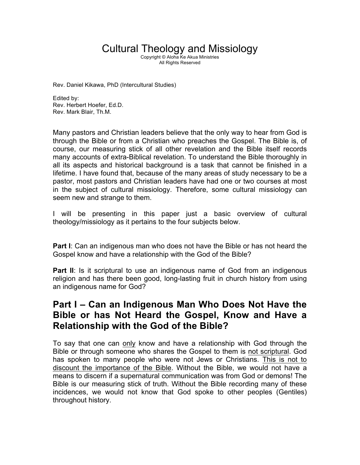# Cultural Theology and Missiology

Copyright © Aloha Ke Akua Ministries All Rights Reserved

Rev. Daniel Kikawa, PhD (Intercultural Studies)

Edited by: Rev. Herbert Hoefer, Ed.D. Rev. Mark Blair, Th.M.

Many pastors and Christian leaders believe that the only way to hear from God is through the Bible or from a Christian who preaches the Gospel. The Bible is, of course, our measuring stick of all other revelation and the Bible itself records many accounts of extra-Biblical revelation. To understand the Bible thoroughly in all its aspects and historical background is a task that cannot be finished in a lifetime. I have found that, because of the many areas of study necessary to be a pastor, most pastors and Christian leaders have had one or two courses at most in the subject of cultural missiology. Therefore, some cultural missiology can seem new and strange to them.

I will be presenting in this paper just a basic overview of cultural theology/missiology as it pertains to the four subjects below.

**Part I**: Can an indigenous man who does not have the Bible or has not heard the Gospel know and have a relationship with the God of the Bible?

**Part II:** Is it scriptural to use an indigenous name of God from an indigenous religion and has there been good, long-lasting fruit in church history from using an indigenous name for God?

# **Part I – Can an Indigenous Man Who Does Not Have the Bible or has Not Heard the Gospel, Know and Have a Relationship with the God of the Bible?**

To say that one can only know and have a relationship with God through the Bible or through someone who shares the Gospel to them is not scriptural. God has spoken to many people who were not Jews or Christians. This is not to discount the importance of the Bible. Without the Bible, we would not have a means to discern if a supernatural communication was from God or demons! The Bible is our measuring stick of truth. Without the Bible recording many of these incidences, we would not know that God spoke to other peoples (Gentiles) throughout history.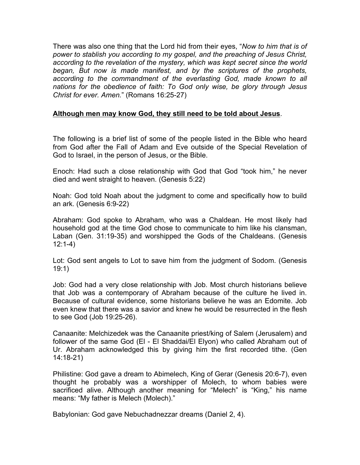There was also one thing that the Lord hid from their eyes, "*Now to him that is of power to stablish you according to my gospel, and the preaching of Jesus Christ, according to the revelation of the mystery, which was kept secret since the world began, But now is made manifest, and by the scriptures of the prophets, according to the commandment of the everlasting God, made known to all nations for the obedience of faith: To God only wise, be glory through Jesus Christ for ever. Amen.*" (Romans 16:25-27)

#### **Although men may know God, they still need to be told about Jesus**.

The following is a brief list of some of the people listed in the Bible who heard from God after the Fall of Adam and Eve outside of the Special Revelation of God to Israel, in the person of Jesus, or the Bible.

Enoch: Had such a close relationship with God that God "took him," he never died and went straight to heaven. (Genesis 5:22)

Noah: God told Noah about the judgment to come and specifically how to build an ark. (Genesis 6:9-22)

Abraham: God spoke to Abraham, who was a Chaldean. He most likely had household god at the time God chose to communicate to him like his clansman, Laban (Gen. 31:19-35) and worshipped the Gods of the Chaldeans. (Genesis 12:1-4)

Lot: God sent angels to Lot to save him from the judgment of Sodom. (Genesis 19:1)

Job: God had a very close relationship with Job. Most church historians believe that Job was a contemporary of Abraham because of the culture he lived in. Because of cultural evidence, some historians believe he was an Edomite. Job even knew that there was a savior and knew he would be resurrected in the flesh to see God (Job 19:25-26).

Canaanite: Melchizedek was the Canaanite priest/king of Salem (Jerusalem) and follower of the same God (El - El Shaddai/El Elyon) who called Abraham out of Ur. Abraham acknowledged this by giving him the first recorded tithe. (Gen 14:18-21)

Philistine: God gave a dream to Abimelech, King of Gerar (Genesis 20:6-7), even thought he probably was a worshipper of Molech, to whom babies were sacrificed alive. Although another meaning for "Melech" is "King," his name means: "My father is Melech (Molech)."

Babylonian: God gave Nebuchadnezzar dreams (Daniel 2, 4).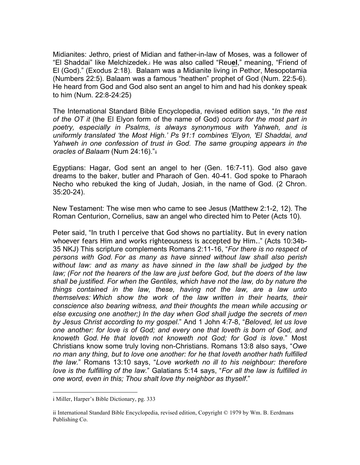Midianites: Jethro, priest of Midian and father-in-law of Moses, was a follower of "El Shaddai" like Melchizedek.i He was also called "Reu**el**," meaning, "Friend of El (God)." (Exodus 2:18). Balaam was a Midianite living in Pethor, Mesopotamia (Numbers 22:5). Balaam was a famous "heathen" prophet of God (Num. 22:5-6). He heard from God and God also sent an angel to him and had his donkey speak to him (Num. 22:8-24:25)

The International Standard Bible Encyclopedia, revised edition says, "*In the rest of the OT it* (the El Elyon form of the name of God) *occurs for the most part in poetry, especially in Psalms, is always synonymous with Yahweh, and is uniformly translated 'the Most High.' Ps 91:1 combines 'Elyon, 'El Shaddai, and Yahweh in one confession of trust in God. The same grouping appears in the oracles of Balaam* (Num 24:16)."ii

Egyptians: Hagar, God sent an angel to her (Gen. 16:7-11). God also gave dreams to the baker, butler and Pharaoh of Gen. 40-41. God spoke to Pharaoh Necho who rebuked the king of Judah, Josiah, in the name of God. (2 Chron. 35:20-24).

New Testament: The wise men who came to see Jesus (Matthew 2:1-2, 12). The Roman Centurion, Cornelius, saw an angel who directed him to Peter (Acts 10).

Peter said, "In truth I perceive that God shows no partiality. But in every nation whoever fears Him and works righteousness is accepted by Him.." (Acts 10:34b-35 NKJ) This scripture complements Romans 2:11-16, "*For there is no respect of persons with God. For as many as have sinned without law shall also perish without law: and as many as have sinned in the law shall be judged by the law; (For not the hearers of the law are just before God, but the doers of the law shall be justified. For when the Gentiles, which have not the law, do by nature the things contained in the law, these, having not the law, are a law unto themselves: Which show the work of the law written in their hearts, their conscience also bearing witness, and their thoughts the mean while accusing or else excusing one another;) In the day when God shall judge the secrets of men by Jesus Christ according to my gospel*." And 1 John 4:7-8, "*Beloved, let us love one another: for love is of God; and every one that loveth is born of God, and knoweth God. He that loveth not knoweth not God; for God is love.*" Most Christians know some truly loving non-Christians. Romans 13:8 also says, "*Owe no man any thing, but to love one another: for he that loveth another hath fulfilled the law.*" Romans 13:10 says, "*Love worketh no ill to his neighbour: therefore love is the fulfilling of the law.*" Galatians 5:14 says, "*For all the law is fulfilled in one word, even in this; Thou shalt love thy neighbor as thyself*."

i Miller, Harper's Bible Dictionary, pg. 333

ii International Standard Bible Encyclopedia, revised edition, Copyright © 1979 by Wm. B. Eerdmans Publishing Co.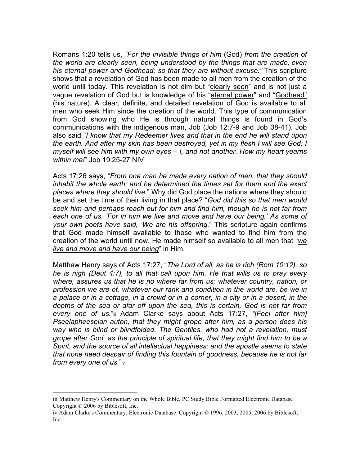Romans 1:20 tells us, *"For the invisible things of him* (God) *from the creation of the world are clearly seen, being understood by the things that are made, even his eternal power and Godhead; so that they are without excuse:"* This scripture shows that a revelation of God has been made to all men from the creation of the world until today. This revelation is not dim but "clearly seen" and is not just a vague revelation of God but is knowledge of his "eternal power" and "Godhead" (his nature). A clear, definite, and detailed revelation of God is available to all men who seek Him since the creation of the world. This type of communication from God showing who He is through natural things is found in God's communications with the indigenous man, Job (Job 12:7-9 and Job 38-41). Job also said "*I know that my Redeemer lives and that in the end he will stand upon the earth. And after my skin has been destroyed, yet in my flesh I will see God; I myself will see him with my own eyes – I, and not another. How my heart yearns within me!*" Job 19:25-27 NIV

Acts 17:26 says, "*From one man he made every nation of men, that they should inhabit the whole earth; and he determined the times set for them and the exact places where they should live.*" Why did God place the nations where they should be and set the time of their living in that place? "*God did this so that men would seek him and perhaps reach out for him and find him, though he is not far from*  each one of us. 'For in him we live and move and have our being.' As some of *your own poets have said, 'We are his offspring.*" This scripture again confirms that God made himself available to those who wanted to find him from the creation of the world until now. He made himself so available to all men that "*we live and move and have our being*" in Him.

Matthew Henry says of Acts 17:27, "*The Lord of all, as he is rich (Rom 10:12), so he is nigh (Deut 4:7), to all that call upon him. He that wills us to pray every where, assures us that he is no where far from us; whatever country, nation, or profession we are of, whatever our rank and condition in the world are, be we in a palace or in a cottage, in a crowd or in a corner, in a city or in a desert, in the depths of the sea or afar off upon the sea, this is certain, God is not far from every one of us.*"iii Adam Clarke says about Acts 17:27, *"[Feel after him] Pseelapheeseian auton, that they might grope after him, as a person does his way who is blind or blindfolded. The Gentiles, who had not a revelation, must grope after God, as the principle of spiritual life, that they might find him to be a Spirit, and the source of all intellectual happiness; and the apostle seems to state that none need despair of finding this fountain of goodness, because he is not far from every one of us.*"iv

iii Matthew Henry's Commentary on the Whole Bible, PC Study Bible Formatted Electronic Database Copyright © 2006 by Biblesoft, Inc.

iv Adam Clarke's Commentary, Electronic Database. Copyright © 1996, 2003, 2005, 2006 by Biblesoft, Inc.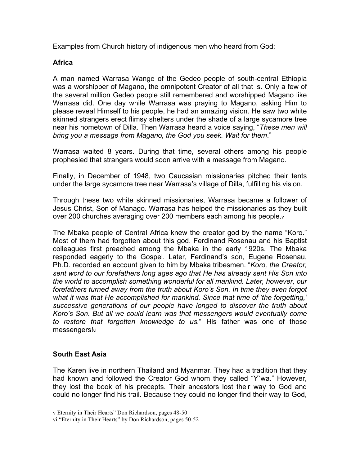Examples from Church history of indigenous men who heard from God:

# **Africa**

A man named Warrasa Wange of the Gedeo people of south-central Ethiopia was a worshipper of Magano, the omnipotent Creator of all that is. Only a few of the several million Gedeo people still remembered and worshipped Magano like Warrasa did. One day while Warrasa was praying to Magano, asking Him to please reveal Himself to his people, he had an amazing vision. He saw two white skinned strangers erect flimsy shelters under the shade of a large sycamore tree near his hometown of Dilla. Then Warrasa heard a voice saying, "*These men will bring you a message from Magano, the God you seek. Wait for them*."

Warrasa waited 8 years. During that time, several others among his people prophesied that strangers would soon arrive with a message from Magano.

Finally, in December of 1948, two Caucasian missionaries pitched their tents under the large sycamore tree near Warrasa's village of Dilla, fulfilling his vision.

Through these two white skinned missionaries, Warrasa became a follower of Jesus Christ, Son of Manago. Warrasa has helped the missionaries as they built over 200 churches averaging over 200 members each among his people.v

The Mbaka people of Central Africa knew the creator god by the name "Koro." Most of them had forgotten about this god. Ferdinand Rosenau and his Baptist colleagues first preached among the Mbaka in the early 1920s. The Mbaka responded eagerly to the Gospel. Later, Ferdinand's son, Eugene Rosenau, Ph.D. recorded an account given to him by Mbaka tribesmen. "*Koro, the Creator, sent word to our forefathers long ages ago that He has already sent His Son into the world to accomplish something wonderful for all mankind. Later, however, our forefathers turned away from the truth about Koro's Son. In time they even forgot what it was that He accomplished for mankind. Since that time of 'the forgetting,' successive generations of our people have longed to discover the truth about Koro's Son. But all we could learn was that messengers would eventually come to restore that forgotten knowledge to us.*" His father was one of those messengers!<sub>vi</sub>

# **South East Asia**

 $\overline{a}$ 

The Karen live in northern Thailand and Myanmar. They had a tradition that they had known and followed the Creator God whom they called "Y`wa." However, they lost the book of his precepts. Their ancestors lost their way to God and could no longer find his trail. Because they could no longer find their way to God,

v Eternity in Their Hearts" Don Richardson, pages 48-50

vi "Eternity in Their Hearts" by Don Richardson, pages 50-52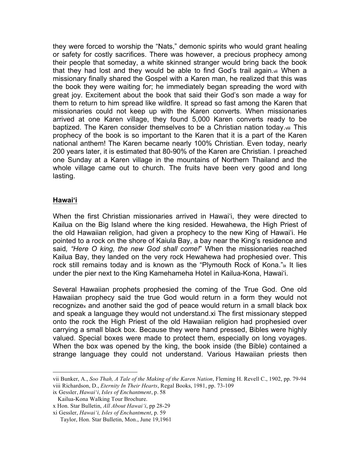they were forced to worship the "Nats," demonic spirits who would grant healing or safety for costly sacrifices. There was however, a precious prophecy among their people that someday, a white skinned stranger would bring back the book that they had lost and they would be able to find God's trail again.vii When a missionary finally shared the Gospel with a Karen man, he realized that this was the book they were waiting for; he immediately began spreading the word with great joy. Excitement about the book that said their God's son made a way for them to return to him spread like wildfire. It spread so fast among the Karen that missionaries could not keep up with the Karen converts. When missionaries arrived at one Karen village, they found 5,000 Karen converts ready to be baptized. The Karen consider themselves to be a Christian nation today.viii This prophecy of the book is so important to the Karen that it is a part of the Karen national anthem! The Karen became nearly 100% Christian. Even today, nearly 200 years later, it is estimated that 80-90% of the Karen are Christian. I preached one Sunday at a Karen village in the mountains of Northern Thailand and the whole village came out to church. The fruits have been very good and long lasting.

#### **Hawai'i**

 $\overline{a}$ 

When the first Christian missionaries arrived in Hawai'i, they were directed to Kailua on the Big Island where the king resided. Hewahewa, the High Priest of the old Hawaiian religion, had given a prophecy to the new King of Hawai'i. He pointed to a rock on the shore of Kaiula Bay, a bay near the King's residence and said*, "Here O king, the new God shall come!*" When the missionaries reached Kailua Bay, they landed on the very rock Hewahewa had prophesied over. This rock still remains today and is known as the "Plymouth Rock of Kona."<sub>ix</sub> It lies under the pier next to the King Kamehameha Hotel in Kailua-Kona, Hawai'i.

Several Hawaiian prophets prophesied the coming of the True God. One old Hawaiian prophecy said the true God would return in a form they would not recognizex and another said the god of peace would return in a small black box and speak a language they would not understand.xi The first missionary stepped onto the rock the High Priest of the old Hawaiian religion had prophesied over carrying a small black box. Because they were hand pressed, Bibles were highly valued. Special boxes were made to protect them, especially on long voyages. When the box was opened by the king, the book inside (the Bible) contained a strange language they could not understand. Various Hawaiian priests then

vii Bunker, A., *Soo Thah, A Tale of the Making of the Karen Nation*, Fleming H. Revell C., 1902, pp. 79-94 viii Richardson, D., *Eternity In Their Hearts*, Regal Books, 1981, pp. 73-109

ix Gessler, *Hawai'i, Isles of Enchantment*, p. 58

Kailua-Kona Walking Tour Brochure.

x Hon. Star Bulletin, *All About Hawai'i*, pp 28-29

xi Gessler, *Hawai'i, Isles of Enchantment*, p. 59

Taylor, Hon. Star Bulletin, Mon., June 19,1961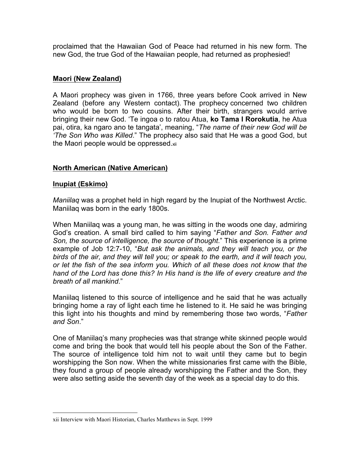proclaimed that the Hawaiian God of Peace had returned in his new form. The new God, the true God of the Hawaiian people, had returned as prophesied!

#### **Maori (New Zealand)**

A Maori prophecy was given in 1766, three years before Cook arrived in New Zealand (before any Western contact). The prophecy concerned two children who would be born to two cousins. After their birth, strangers would arrive bringing their new God. 'Te ingoa o to ratou Atua, **ko Tama I Rorokutia**, he Atua pai, otira, ka ngaro ano te tangata', meaning, "*The name of their new God will be 'The Son Who was Killed*." The prophecy also said that He was a good God, but the Maori people would be oppressed.xii

# **North American (Native American)**

#### **Inupiat (Eskimo)**

 $\overline{a}$ 

*Maniilaq* was a prophet held in high regard by the Inupiat of the Northwest Arctic. Maniilaq was born in the early 1800s.

When Maniilaq was a young man, he was sitting in the woods one day, admiring God's creation. A small bird called to him saying "*Father and Son. Father and Son, the source of intelligence, the source of thought*." This experience is a prime example of Job 12:7-10, "*But ask the animals, and they will teach you, or the birds of the air, and they will tell you; or speak to the earth, and it will teach you, or let the fish of the sea inform you. Which of all these does not know that the hand of the Lord has done this? In His hand is the life of every creature and the breath of all mankind*."

Maniilaq listened to this source of intelligence and he said that he was actually bringing home a ray of light each time he listened to it. He said he was bringing this light into his thoughts and mind by remembering those two words, "*Father and Son*."

One of Maniilaq's many prophecies was that strange white skinned people would come and bring the book that would tell his people about the Son of the Father. The source of intelligence told him not to wait until they came but to begin worshipping the Son now. When the white missionaries first came with the Bible, they found a group of people already worshipping the Father and the Son, they were also setting aside the seventh day of the week as a special day to do this.

xii Interview with Maori Historian, Charles Matthews in Sept. 1999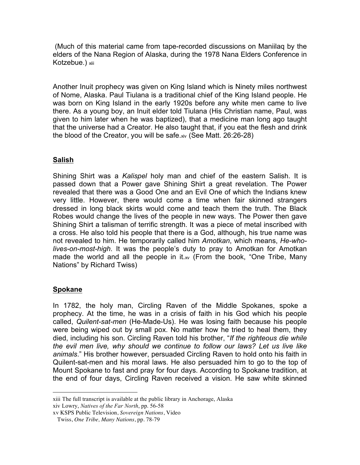(Much of this material came from tape-recorded discussions on Maniilaq by the elders of the Nana Region of Alaska, during the 1978 Nana Elders Conference in Kotzebue.) xiii

Another Inuit prophecy was given on King Island which is Ninety miles northwest of Nome, Alaska. Paul Tiulana is a traditional chief of the King Island people. He was born on King Island in the early 1920s before any white men came to live there. As a young boy, an Inuit elder told Tiulana (His Christian name, Paul, was given to him later when he was baptized), that a medicine man long ago taught that the universe had a Creator. He also taught that, if you eat the flesh and drink the blood of the Creator, you will be safe.xiv (See Matt. 26:26-28)

# **Salish**

Shining Shirt was a *Kalispel* holy man and chief of the eastern Salish. It is passed down that a Power gave Shining Shirt a great revelation. The Power revealed that there was a Good One and an Evil One of which the Indians knew very little. However, there would come a time when fair skinned strangers dressed in long black skirts would come and teach them the truth. The Black Robes would change the lives of the people in new ways. The Power then gave Shining Shirt a talisman of terrific strength. It was a piece of metal inscribed with a cross. He also told his people that there is a God, although, his true name was not revealed to him. He temporarily called him *Amotkan*, which means, *He-wholives-on-most-high*. It was the people's duty to pray to Amotkan for Amotkan made the world and all the people in it. $w$  (From the book, "One Tribe, Many Nations" by Richard Twiss)

# **Spokane**

 $\overline{a}$ 

In 1782, the holy man, Circling Raven of the Middle Spokanes, spoke a prophecy. At the time, he was in a crisis of faith in his God which his people called, *Quilent-sat-men* (He-Made-Us). He was losing faith because his people were being wiped out by small pox. No matter how he tried to heal them, they died, including his son. Circling Raven told his brother, "*If the righteous die while the evil men live, why should we continue to follow our laws? Let us live like animals*." His brother however, persuaded Circling Raven to hold onto his faith in Quilent-sat-men and his moral laws. He also persuaded him to go to the top of Mount Spokane to fast and pray for four days. According to Spokane tradition, at the end of four days, Circling Raven received a vision. He saw white skinned

xiii The full transcript is available at the public library in Anchorage, Alaska xiv Lowry, *Natives of the Far North*, pp. 56-58

xv KSPS Public Television, *Sovereign Nations*, Video

Twiss, *One Tribe, Many Nations*, pp. 78-79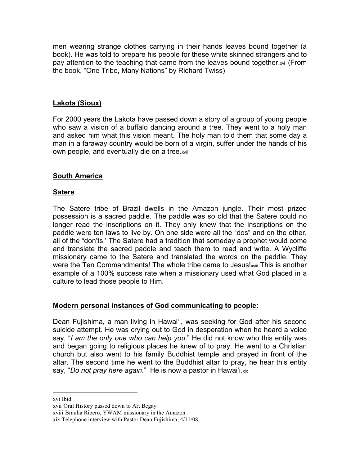men wearing strange clothes carrying in their hands leaves bound together (a book). He was told to prepare his people for these white skinned strangers and to pay attention to the teaching that came from the leaves bound together.xvi (From the book, "One Tribe, Many Nations" by Richard Twiss)

# **Lakota (Sioux)**

For 2000 years the Lakota have passed down a story of a group of young people who saw a vision of a buffalo dancing around a tree. They went to a holy man and asked him what this vision meant. The holy man told them that some day a man in a faraway country would be born of a virgin, suffer under the hands of his own people, and eventually die on a tree.xvii

# **South America**

# **Satere**

The Satere tribe of Brazil dwells in the Amazon jungle. Their most prized possession is a sacred paddle. The paddle was so old that the Satere could no longer read the inscriptions on it. They only knew that the inscriptions on the paddle were ten laws to live by. On one side were all the "dos" and on the other, all of the "don'ts.' The Satere had a tradition that someday a prophet would come and translate the sacred paddle and teach them to read and write. A Wycliffe missionary came to the Satere and translated the words on the paddle. They were the Ten Commandments! The whole tribe came to Jesus!xviii This is another example of a 100% success rate when a missionary used what God placed in a culture to lead those people to Him.

#### **Modern personal instances of God communicating to people:**

Dean Fujishima, a man living in Hawai'i, was seeking for God after his second suicide attempt. He was crying out to God in desperation when he heard a voice say, "*I am the only one who can help you*." He did not know who this entity was and began going to religious places he knew of to pray. He went to a Christian church but also went to his family Buddhist temple and prayed in front of the altar. The second time he went to the Buddhist altar to pray, he hear this entity say, "*Do not pray here again*." He is now a pastor in Hawai'i.xix

xvi Ibid.

xvii Oral History passed down to Art Begay

xviii Braulia Ribero, YWAM missionary in the Amazon

xix Telephone interview with Pastor Dean Fujishima, 4/11/08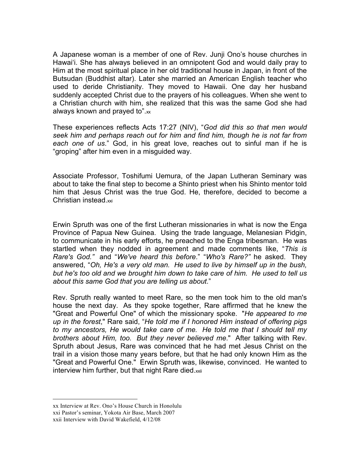A Japanese woman is a member of one of Rev. Junji Ono's house churches in Hawai'i. She has always believed in an omnipotent God and would daily pray to Him at the most spiritual place in her old traditional house in Japan, in front of the Butsudan (Buddhist altar). Later she married an American English teacher who used to deride Christianity. They moved to Hawaii. One day her husband suddenly accepted Christ due to the prayers of his colleagues. When she went to a Christian church with him, she realized that this was the same God she had always known and prayed to". $x$ 

These experiences reflects Acts 17:27 (NIV), "*God did this so that men would seek him and perhaps reach out for him and find him, though he is not far from each one of us*." God, in his great love, reaches out to sinful man if he is "groping" after him even in a misguided way.

Associate Professor, Toshifumi Uemura, of the Japan Lutheran Seminary was about to take the final step to become a Shinto priest when his Shinto mentor told him that Jesus Christ was the true God. He, therefore, decided to become a Christian instead.xxi

Erwin Spruth was one of the first Lutheran missionaries in what is now the Enga Province of Papua New Guinea. Using the trade language, Melanesian Pidgin, to communicate in his early efforts, he preached to the Enga tribesman. He was startled when they nodded in agreement and made comments like, "*This is Rare's God."* and "*We've heard this before*." "*Who's Rare?"* he asked. They answered, "*Oh, He's a very old man. He used to live by himself up in the bush, but he's too old and we brought him down to take care of him. He used to tell us about this same God that you are telling us about*."

Rev. Spruth really wanted to meet Rare, so the men took him to the old man's house the next day. As they spoke together, Rare affirmed that he knew the "Great and Powerful One" of which the missionary spoke. "*He appeared to me up in the forest*," Rare said, "*He told me if I honored Him instead of offering pigs to my ancestors, He would take care of me. He told me that I should tell my brothers about Him, too. But they never believed me*." After talking with Rev. Spruth about Jesus, Rare was convinced that he had met Jesus Christ on the trail in a vision those many years before, but that he had only known Him as the "Great and Powerful One." Erwin Spruth was, likewise, convinced. He wanted to interview him further, but that night Rare died.xxii

xx Interview at Rev. Ono's House Church in Honolulu xxi Pastor's seminar, Yokota Air Base, March 2007 xxii Interview with David Wakefield, 4/12/08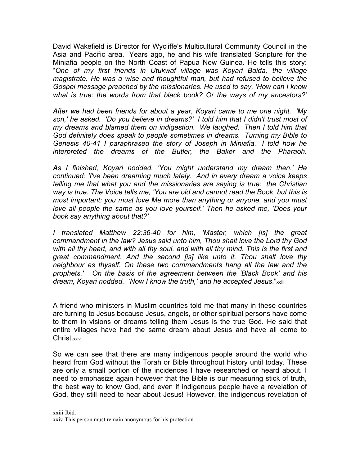David Wakefield is Director for Wycliffe's Multicultural Community Council in the Asia and Pacific area. Years ago, he and his wife translated Scripture for the Miniafia people on the North Coast of Papua New Guinea. He tells this story: "*One of my first friends in Utukwaf village was Koyari Baida, the village magistrate. He was a wise and thoughtful man, but had refused to believe the Gospel message preached by the missionaries. He used to say, 'How can I know what is true: the words from that black book? Or the ways of my ancestors?'*

*After we had been friends for about a year, Koyari came to me one night. 'My son,' he asked. 'Do you believe in dreams?' I told him that I didn't trust most of my dreams and blamed them on indigestion. We laughed. Then I told him that God definitely does speak to people sometimes in dreams. Turning my Bible to Genesis 40-41 I paraphrased the story of Joseph in Miniafia. I told how he interpreted the dreams of the Butler, the Baker and the Pharaoh.* 

*As I finished, Koyari nodded. 'You might understand my dream then.' He continued: 'I've been dreaming much lately. And in every dream a voice keeps telling me that what you and the missionaries are saying is true: the Christian way is true. The Voice tells me, 'You are old and cannot read the Book, but this is most important: you must love Me more than anything or anyone, and you must love all people the same as you love yourself.' Then he asked me, 'Does your book say anything about that?'*

*I translated Matthew 22:36-40 for him, 'Master, which [is] the great commandment in the law? Jesus said unto him, Thou shalt love the Lord thy God with all thy heart, and with all thy soul, and with all thy mind. This is the first and great commandment. And the second [is] like unto it, Thou shalt love thy neighbour as thyself. On these two commandments hang all the law and the prophets.' On the basis of the agreement between the 'Black Book' and his dream, Koyari nodded. 'Now I know the truth,' and he accepted Jesus*."xxiii

A friend who ministers in Muslim countries told me that many in these countries are turning to Jesus because Jesus, angels, or other spiritual persons have come to them in visions or dreams telling them Jesus is the true God. He said that entire villages have had the same dream about Jesus and have all come to Christ<sub>xxiv</sub>

So we can see that there are many indigenous people around the world who heard from God without the Torah or Bible throughout history until today. These are only a small portion of the incidences I have researched or heard about. I need to emphasize again however that the Bible is our measuring stick of truth, the best way to know God, and even if indigenous people have a revelation of God, they still need to hear about Jesus! However, the indigenous revelation of

xxiii Ibid.

xxiv This person must remain anonymous for his protection